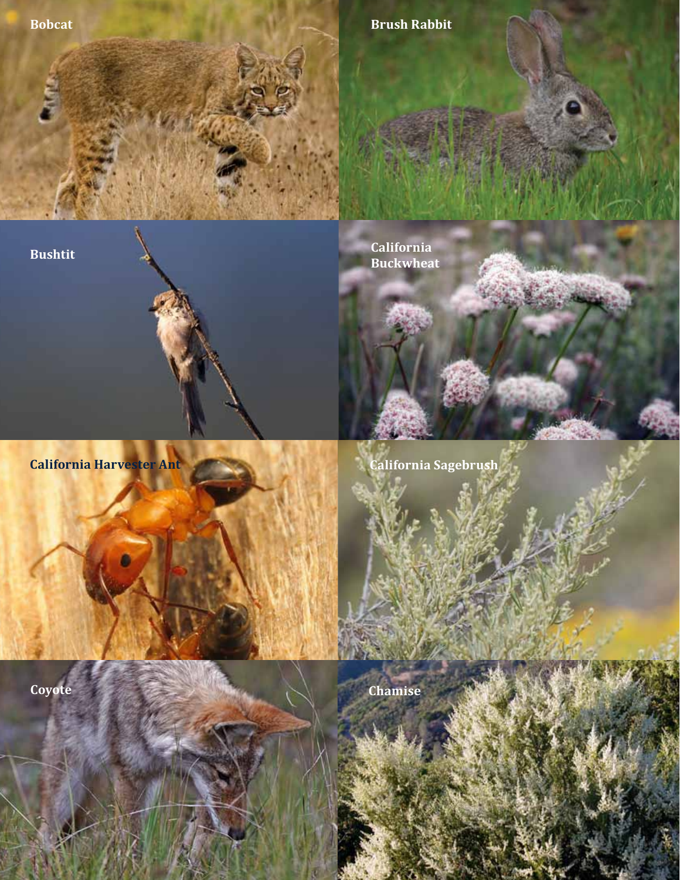**Bobcat Bobcat Brush Rabbit** 

**Bushtit**

**Buckwheat**

**California** 

**California Harvester Ant California Sagebrush** 

**Coyote Chamise**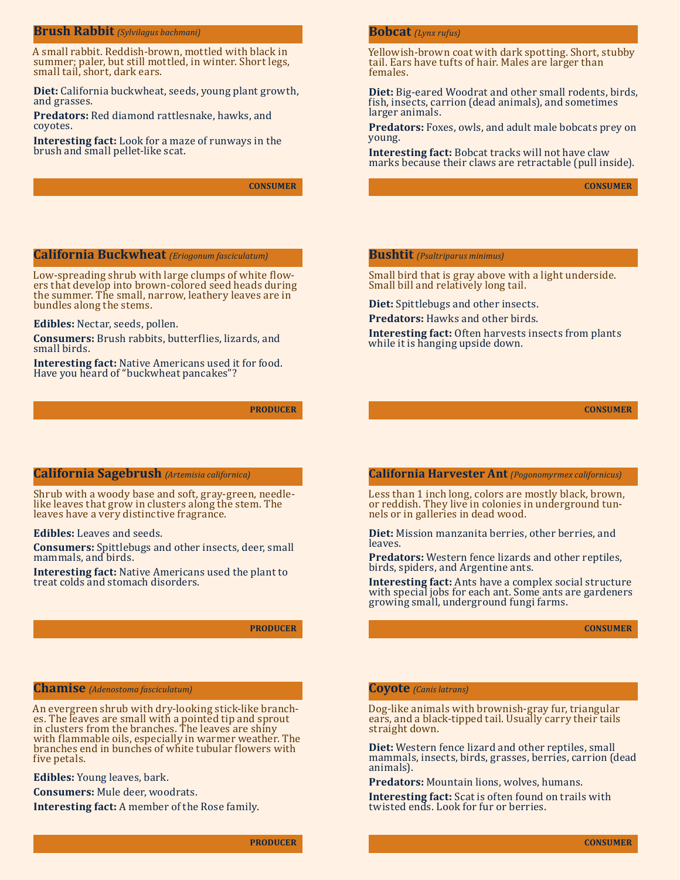### **Brush Rabbit** *(Sylvilagus bachmani)*

A small rabbit. Reddish-brown, mottled with black in summer; paler, but still mottled, in winter. Short legs, small tail, short, dark ears.

**Diet:** California buckwheat, seeds, young plant growth, and grasses.

**Predators:** Red diamond rattlesnake, hawks, and coyotes.

**Interesting fact:** Look for a maze of runways in the brush and small pellet-like scat.

**CONSUMER**

# **California Buckwheat** *(Eriogonum fasciculatum)*

Low-spreading shrub with large clumps of white flow-<br>ers that develop into brown-colored seed heads during the summer. The small, narrow, leathery leaves are in bundles along the stems.

**Edibles:** Nectar, seeds, pollen.

**Consumers:** Brush rabbits, butterflies, lizards, and small birds.

**Interesting fact:** Native Americans used it for food. Have you heard of "buckwheat pancakes"?

**PRODUCER**

## **California Sagebrush** *(Artemisia californica)*

Shrub with a woody base and soft, gray-green, needle- like leaves that grow in clusters along the stem. The leaves have a very distinctive fragrance.

#### **Edibles:** Leaves and seeds.

**Consumers:** Spittlebugs and other insects, deer, small mammals, and birds.

**Interesting fact:** Native Americans used the plant to treat colds and stomach disorders.

# **PRODUCER**

# **Chamise** *(Adenostoma fasciculatum)*

An evergreen shrub with dry-looking stick-like branch- es. The leaves are small with a pointed tip and sprout in clusters from the branches. The leaves are shiny with flammable oils, especially in warmer weather. The branches end in bunches of white tubular �lowers with five petals.

**Edibles:** Young leaves, bark.

**Consumers:** Mule deer, woodrats.

**Interesting fact:** A member of the Rose family.

**PRODUCER**

### **Bobcat** *(Lynx rufus)*

Yellowish-brown coat with dark spotting. Short, stubby tail. Ears have tufts of hair. Males are larger than females.

**Diet:** Big-eared Woodrat and other small rodents, birds, fish, insects, carrion (dead animals), and sometimes larger animals.

**Predators:** Foxes, owls, and adult male bobcats prey on young.

**Interesting fact:** Bobcat tracks will not have claw marks because their claws are retractable (pull inside).

**CONSUMER**

## **Bushtit** *(Psaltriparus minimus)*

Small bird that is gray above with a light underside. Small bill and relatively long tail.

**Diet:** Spittlebugs and other insects.

**Predators:** Hawks and other birds.

**Interesting fact:** Often harvests insects from plants while it is hanging upside down.

**CONSUMER**

#### **California Harvester Ant** *(Pogonomyrmex californicus)*

Less than 1 inch long, colors are mostly black, brown, or reddish. They live in colonies in underground tun- nels or in galleries in dead wood.

**Diet:** Mission manzanita berries, other berries, and leaves.

**Predators:** Western fence lizards and other reptiles, birds, spiders, and Argentine ants.

**Interesting fact:** Ants have a complex social structure with special jobs for each ant. Some ants are gardeners growing small, underground fungi farms.

**CONSUMER**

#### **Coyote** *(Canis latrans)*

Dog-like animals with brownish-gray fur, triangular ears, and a black-tipped tail. Usually carry their tails straight down.

**Diet:** Western fence lizard and other reptiles, small mammals, insects, birds, grasses, berries, carrion (dead animals).

**Predators:** Mountain lions, wolves, humans.

**Interesting fact:** Scat is often found on trails with twisted ends. Look for fur or berries.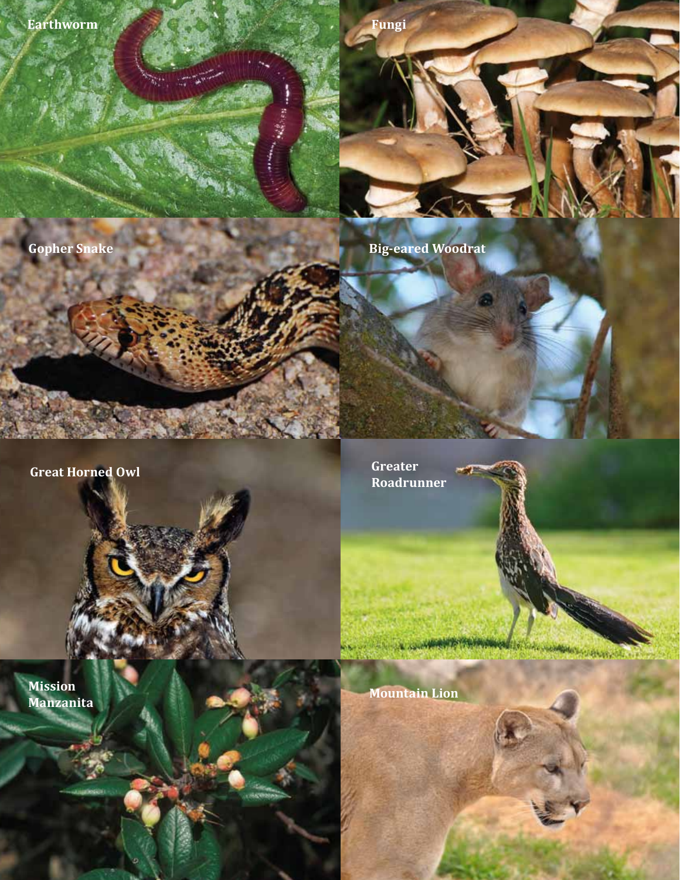**Earthworm Fungi** 

 $Q_{\rm max}$ 

**Gopher Snake Big-eared Woodrat** 

**Great Horned Owl**

**Mission Manzanita** **Greater Roadrunner**

The company of the company of the company of the company of the company of the company of the company of the company of the company of the company of the company of the company of the company of the company of the company

**Mountain Lion**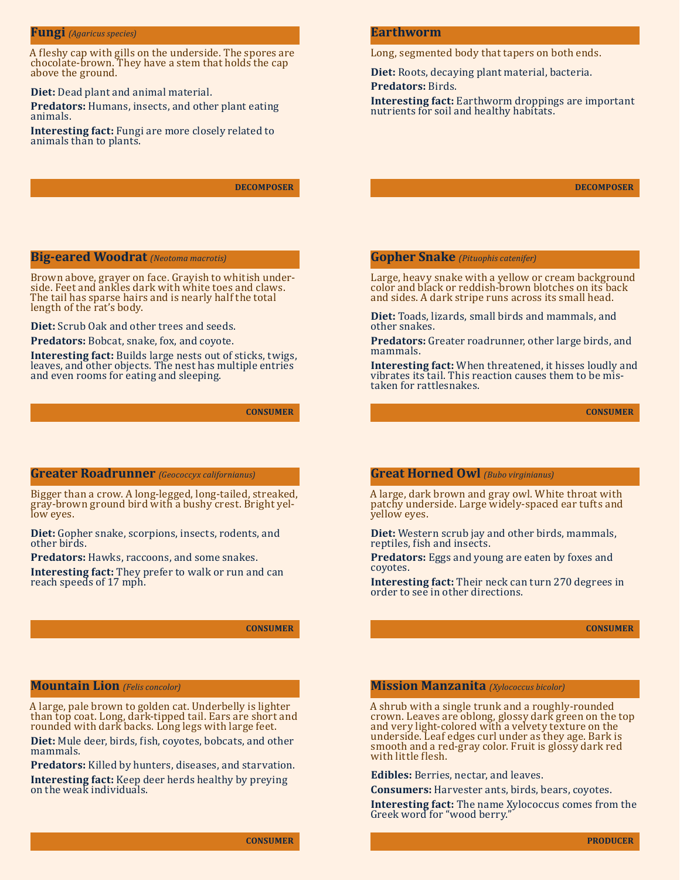# **Fungi** *(Agaricus species)*

A fleshy cap with gills on the underside. The spores are chocolate-brown. They have a stem that holds the cap above the ground.

#### **Diet:** Dead plant and animal material.

**Predators:** Humans, insects, and other plant eating animals.

**Interesting fact:** Fungi are more closely related to animals than to plants.

**DECOMPOSER**

# **Big-eared Woodrat** *(Neotoma macrotis)*

Brown above, grayer on face. Grayish to whitish under- side. Feet and ankles dark with white toes and claws. The tail has sparse hairs and is nearly half the total length of the rat's body.

**Diet:** Scrub Oak and other trees and seeds.

**Predators:** Bobcat, snake, fox, and coyote.

**Interesting fact:** Builds large nests out of sticks, twigs, leaves, and other objects. The nest has multiple entries and even rooms for eating and sleeping.

**CONSUMER**

# **Greater Roadrunner** *(Geococcyx californianus)*

Bigger than a crow. A long-legged, long-tailed, streaked, gray-brown ground bird with a bushy crest. Bright yel- low eyes.

**Diet:** Gopher snake, scorpions, insects, rodents, and other birds.

**Predators:** Hawks, raccoons, and some snakes.

**Interesting fact:** They prefer to walk or run and can reach speeds of 17 mph.

**CONSUMER**

# **Mountain Lion** *(Felis concolor)*

A large, pale brown to golden cat. Underbelly is lighter than top coat. Long, dark-tipped tail. Ears are short and rounded with dark backs. Long legs with large feet.

**Diet:** Mule deer, birds, fish, coyotes, bobcats, and other mammals.

**Predators:** Killed by hunters, diseases, and starvation. **Interesting fact:** Keep deer herds healthy by preying on the weak individuals.

## **Earthworm**

Long, segmented body that tapers on both ends.

**Diet:** Roots, decaying plant material, bacteria. **Predators:** Birds.

**Interesting fact:** Earthworm droppings are important nutrients for soil and healthy habitats.

**DECOMPOSER**

## **Gopher Snake** *(Pituophis catenifer)*

Large, heavy snake with a yellow or cream background color and black or reddish-brown blotches on its back and sides. A dark stripe runs across its small head.

**Diet:** Toads, lizards, small birds and mammals, and other snakes.

**Predators:** Greater roadrunner, other large birds, and mammals.

**Interesting fact:** When threatened, it hisses loudly and vibrates its tail. This reaction causes them to be mis- taken for rattlesnakes.

**CONSUMER**

### **Great Horned Owl** *(Bubo virginianus)*

A large, dark brown and gray owl. White throat with patchy underside. Large widely-spaced ear tufts and yellow eyes.

**Diet:** Western scrub jay and other birds, mammals, reptiles, fish and insects.

**Predators:** Eggs and young are eaten by foxes and coyotes.

**Interesting fact:** Their neck can turn 270 degrees in order to see in other directions.

**CONSUMER**

#### **Mission Manzanita** *(Xylococcus bicolor)*

A shrub with a single trunk and a roughly-rounded crown. Leaves are oblong, glossy dark green on the top and very light-colored with a velvety texture on the underside. Leaf edges curl under as they age. Bark is smooth and a red-gray color. Fruit is glossy dark red with little flesh.

**Edibles:** Berries, nectar, and leaves.

**Consumers:** Harvester ants, birds, bears, coyotes.

**Interesting fact:** The name Xylococcus comes from the Greek word for "wood berry."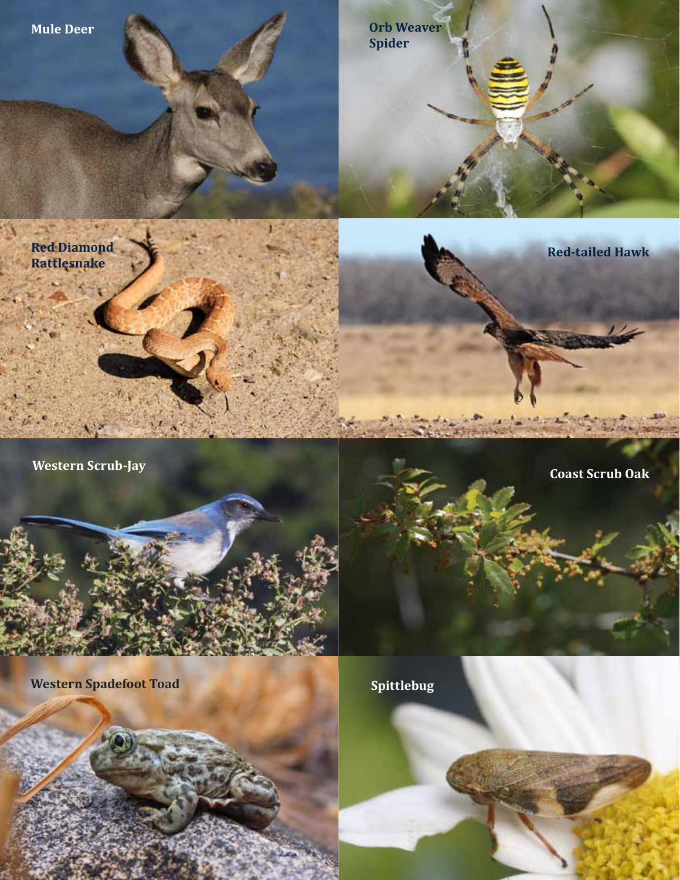

**Western Spadefoot Toad Spittlebug** 

**Tark**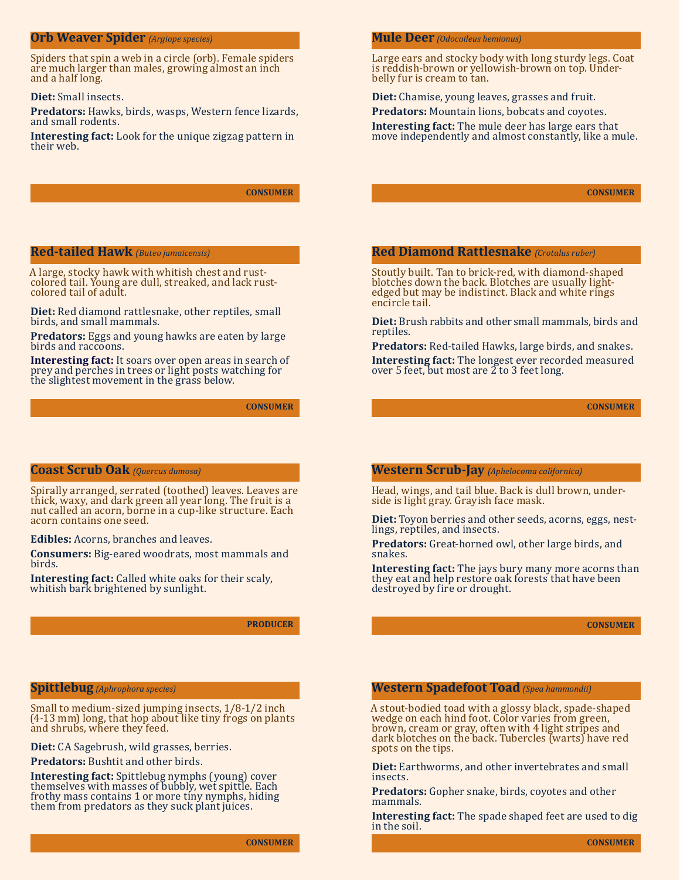## **Orb Weaver Spider** *(Argiope species)*

Spiders that spin a web in a circle (orb). Female spiders are much larger than males, growing almost an inch and a half long.

#### **Diet:** Small insects.

**Predators:** Hawks, birds, wasps, Western fence lizards, and small rodents.

**Interesting fact:** Look for the unique zigzag pattern in their web.

**CONSUMER**

# **Red-tailed Hawk** *(Buteo jamaicensis)*

A large, stocky hawk with whitish chest and rust- colored tail. Young are dull, streaked, and lack rust- colored tail of adult.

**Diet:** Red diamond rattlesnake, other reptiles, small birds, and small mammals.

**Predators:** Eggs and young hawks are eaten by large birds and raccoons.

**Interesting fact:** It soars over open areas in search of prey and perches in trees or light posts watching for the slightest movement in the grass below.

**CONSUMER**

# **Coast Scrub Oak** *(Quercus dumosa)*

Spirally arranged, serrated (toothed) leaves. Leaves are thick, waxy, and dark green all year long. The fruit is a nut called an acorn, borne in a cup-like structure. Each acorn contains one seed.

### **Edibles:** Acorns, branches and leaves.

**Consumers:** Big-eared woodrats, most mammals and birds.

**Interesting fact:** Called white oaks for their scaly, whitish bark brightened by sunlight.

**PRODUCER**

# **Spittlebug** *(Aphrophora species)*

Small to medium-sized jumping insects, 1/8-1/2 inch (4-13 mm) long, that hop about like tiny frogs on plants and shrubs, where they feed.

**Diet:** CA Sagebrush, wild grasses, berries.

#### **Predators:** Bushtit and other birds.

**Interesting fact:** Spittlebug nymphs (young) cover themselves with masses of bubbly, wet spittle. Each frothy mass contains 1 or more tiny nymphs, hiding them from predators as they suck plant juices.

# **Mule Deer** *(Odocoileus hemionus)*

Large ears and stocky body with long sturdy legs. Coat is reddish-brown or yellowish-brown on top. Under- belly fur is cream to tan.

**Diet:** Chamise, young leaves, grasses and fruit.

**Predators:** Mountain lions, bobcats and coyotes.

**Interesting fact:** The mule deer has large ears that move independently and almost constantly, like a mule.

**CONSUMER**

### **Red Diamond Rattlesnake** *(Crotalus ruber)*

Stoutly built. Tan to brick-red, with diamond-shaped edged but may be indistinct. Black and white rings encircle tail.

**Diet:** Brush rabbits and other small mammals, birds and reptiles.

**Predators:** Red-tailed Hawks, large birds, and snakes. **Interesting fact:** The longest ever recorded measured over 5 feet, but most are  $\tilde{2}$  to 3 feet long.

**CONSUMER**

# **Western Scrub-Jay** *(Aphelocoma californica)*

Head, wings, and tail blue. Back is dull brown, under- side is light gray. Grayish face mask.

**Diet:** Toyon berries and other seeds, acorns, eggs, nest- lings, reptiles, and insects.

**Predators:** Great-horned owl, other large birds, and snakes.

**Interesting fact:** The jays bury many more acorns than they eat and help restore oak forests that have been destroyed by fire or drought.

**CONSUMER**

#### **Western Spadefoot Toad** *(Spea hammondii)*

A stout-bodied toad with a glossy black, spade-shaped brown, cream or gray, often with 4 light stripes and dark blotches on the back. Tubercles (warts) have red spots on the tips.

**Diet:** Earthworms, and other invertebrates and small insects.

**Predators:** Gopher snake, birds, coyotes and other mammals.

**Interesting fact:** The spade shaped feet are used to dig in the soil.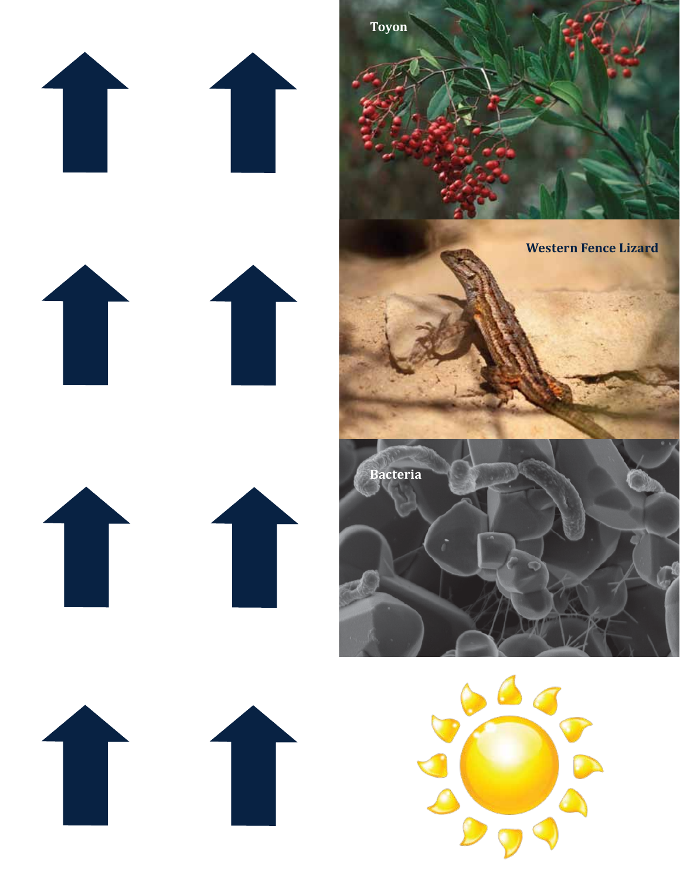